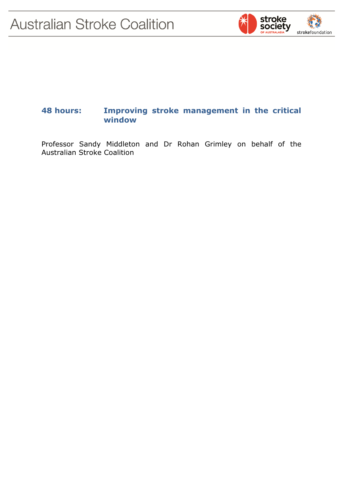

# **48 hours: Improving stroke management in the critical window**

Professor Sandy Middleton and Dr Rohan Grimley on behalf of the Australian Stroke Coalition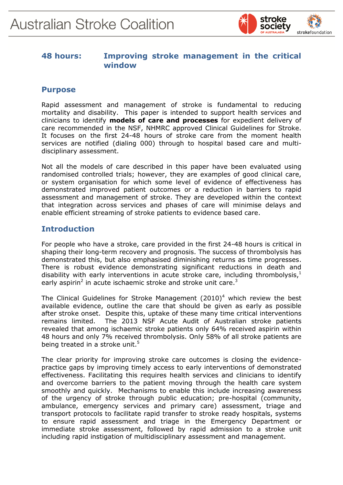

## **48 hours: Improving stroke management in the critical window**

### **Purpose**

Rapid assessment and management of stroke is fundamental to reducing mortality and disability. This paper is intended to support health services and clinicians to identify **models of care and processes** for expedient delivery of care recommended in the NSF, NHMRC approved Clinical Guidelines for Stroke. It focuses on the first 24-48 hours of stroke care from the moment health services are notified (dialing 000) through to hospital based care and multidisciplinary assessment.

Not all the models of care described in this paper have been evaluated using randomised controlled trials; however, they are examples of good clinical care, or system organisation for which some level of evidence of effectiveness has demonstrated improved patient outcomes or a reduction in barriers to rapid assessment and management of stroke. They are developed within the context that integration across services and phases of care will minimise delays and enable efficient streaming of stroke patients to evidence based care.

## **Introduction**

For people who have a stroke, care provided in the first 24-48 hours is critical in shaping their long-term recovery and prognosis. The success of thrombolysis has demonstrated this, but also emphasised diminishing returns as time progresses. There is robust evidence demonstrating significant reductions in death and disability with early interventions in acute stroke care, including thrombolysis, $^{1}$ early aspirin<sup>2</sup> in acute ischaemic stroke and stroke unit care.<sup>3</sup>

The Clinical Guidelines for Stroke Management  $(2010)^4$  which review the best available evidence, outline the care that should be given as early as possible after stroke onset. Despite this, uptake of these many time critical interventions remains limited. The 2013 NSF Acute Audit of Australian stroke patients revealed that among ischaemic stroke patients only 64% received aspirin within 48 hours and only 7% received thrombolysis. Only 58% of all stroke patients are being treated in a stroke unit.<sup>5</sup>

The clear priority for improving stroke care outcomes is closing the evidencepractice gaps by improving timely access to early interventions of demonstrated effectiveness. Facilitating this requires health services and clinicians to identify and overcome barriers to the patient moving through the health care system smoothly and quickly. Mechanisms to enable this include increasing awareness of the urgency of stroke through public education; pre-hospital (community, ambulance, emergency services and primary care) assessment, triage and transport protocols to facilitate rapid transfer to stroke ready hospitals, systems to ensure rapid assessment and triage in the Emergency Department or immediate stroke assessment, followed by rapid admission to a stroke unit including rapid instigation of multidisciplinary assessment and management.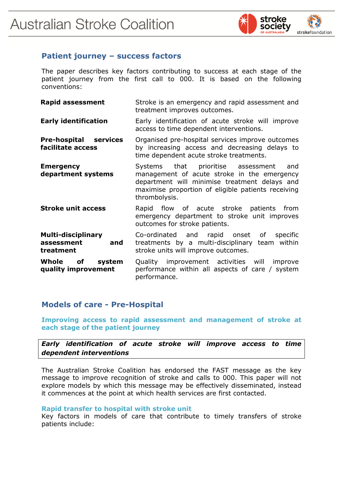

## **Patient journey – success factors**

The paper describes key factors contributing to success at each stage of the patient journey from the first call to 000. It is based on the following conventions:

| <b>Rapid assessment</b>                                     | Stroke is an emergency and rapid assessment and<br>treatment improves outcomes.                                                                                                                                  |
|-------------------------------------------------------------|------------------------------------------------------------------------------------------------------------------------------------------------------------------------------------------------------------------|
| <b>Early identification</b>                                 | Early identification of acute stroke will improve<br>access to time dependent interventions.                                                                                                                     |
| <b>Pre-hospital services</b><br>facilitate access           | Organised pre-hospital services improve outcomes<br>by increasing access and decreasing delays to<br>time dependent acute stroke treatments.                                                                     |
| <b>Emergency</b><br>department systems                      | Systems that prioritise assessment<br>and<br>management of acute stroke in the emergency<br>department will minimise treatment delays and<br>maximise proportion of eligible patients receiving<br>thrombolysis. |
| <b>Stroke unit access</b>                                   | Rapid flow of acute stroke patients from<br>emergency department to stroke unit improves<br>outcomes for stroke patients.                                                                                        |
| <b>Multi-disciplinary</b><br>assessment<br>and<br>treatment | Co-ordinated and rapid onset of<br>specific<br>treatments by a multi-disciplinary team within<br>stroke units will improve outcomes.                                                                             |
| Whole of<br>system<br>quality improvement                   | Quality improvement activities will improve<br>performance within all aspects of care / system<br>performance.                                                                                                   |

## **Models of care - Pre-Hospital**

**Improving access to rapid assessment and management of stroke at each stage of the patient journey**

### *Early identification of acute stroke will improve access to time dependent interventions*

The Australian Stroke Coalition has endorsed the FAST message as the key message to improve recognition of stroke and calls to 000. This paper will not explore models by which this message may be effectively disseminated, instead it commences at the point at which health services are first contacted.

#### **Rapid transfer to hospital with stroke unit**

Key factors in models of care that contribute to timely transfers of stroke patients include: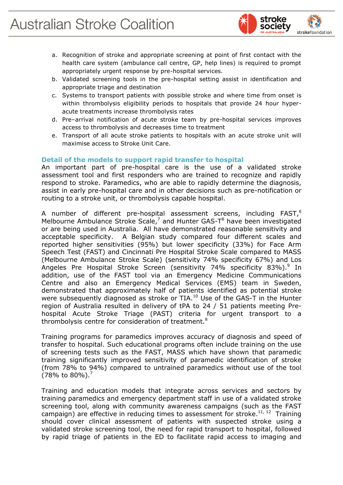

- a. Recognition of stroke and appropriate screening at point of first contact with the health care system (ambulance call centre, GP, help lines) is required to prompt appropriately urgent response by pre-hospital services.
- b. Validated screening tools in the pre-hospital setting assist in identification and appropriate triage and destination
- c. Systems to transport patients with possible stroke and where time from onset is within thrombolysis eligibility periods to hospitals that provide 24 hour hyperacute treatments increase thrombolysis rates
- d. Pre–arrival notification of acute stroke team by pre-hospital services improves access to thrombolysis and decreases time to treatment
- e. Transport of all acute stroke patients to hospitals with an acute stroke unit will maximise access to Stroke Unit Care.

### **Detail of the models to support rapid transfer to hospital**

An important part of pre-hospital care is the use of a validated stroke assessment tool and first responders who are trained to recognize and rapidly respond to stroke. Paramedics, who are able to rapidly determine the diagnosis, assist in early pre-hospital care and in other decisions such as pre-notification or routing to a stroke unit, or thrombolysis capable hospital.

A number of different pre-hospital assessment screens, including FAST,<sup>6</sup> Melbourne Ambulance Stroke Scale, $^7$  and Hunter GAS-T $^8$  have been investigated or are being used in Australia. All have demonstrated reasonable sensitivity and acceptable specificity. A Belgian study compared four different scales and reported higher sensitivities (95%) but lower specificity (33%) for Face Arm Speech Test (FAST) and Cincinnati Pre Hospital Stroke Scale compared to MASS (Melbourne Ambulance Stroke Scale) (sensitivity 74% specificity 67%) and Los Angeles Pre Hospital Stroke Screen (sensitivity 74% specificity 83%).<sup>9</sup> In addition, use of the FAST tool via an Emergency Medicine Communications Centre and also an Emergency Medical Services (EMS) team in Sweden, demonstrated that approximately half of patients identified as potential stroke were subsequently diagnosed as stroke or TIA.<sup>10</sup> Use of the GAS-T in the Hunter region of Australia resulted in delivery of tPA to 24 / 51 patients meeting Prehospital Acute Stroke Triage (PAST) criteria for urgent transport to a thrombolysis centre for consideration of treatment.<sup>8</sup>

Training programs for paramedics improves accuracy of diagnosis and speed of transfer to hospital. Such educational programs often include training on the use of screening tests such as the FAST, MASS which have shown that paramedic training significantly improved sensitivity of paramedic identification of stroke (from 78% to 94%) compared to untrained paramedics without use of the tool (78% to 80%).<sup>7</sup>

Training and education models that integrate across services and sectors by training paramedics and emergency department staff in use of a validated stroke screening tool, along with community awareness campaigns (such as the FAST campaign) are effective in reducing times to assessment for stroke. $^{11, 12}$  Training should cover clinical assessment of patients with suspected stroke using a validated stroke screening tool, the need for rapid transport to hospital, followed by rapid triage of patients in the ED to facilitate rapid access to imaging and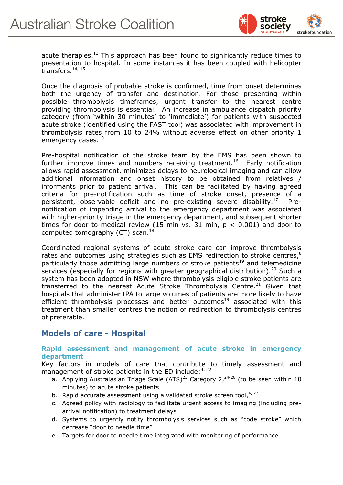

acute therapies. $^{13}$  This approach has been found to significantly reduce times to presentation to hospital. In some instances it has been coupled with helicopter transfers.<sup>14, 15</sup>

Once the diagnosis of probable stroke is confirmed, time from onset determines both the urgency of transfer and destination. For those presenting within possible thrombolysis timeframes, urgent transfer to the nearest centre providing thrombolysis is essential. An increase in ambulance dispatch priority category (from 'within 30 minutes' to 'immediate') for patients with suspected acute stroke (identified using the FAST tool) was associated with improvement in thrombolysis rates from 10 to 24% without adverse effect on other priority 1 emergency cases.<sup>10</sup>

Pre-hospital notification of the stroke team by the EMS has been shown to further improve times and numbers receiving treatment.<sup>16</sup> Early notification allows rapid assessment, minimizes delays to neurological imaging and can allow additional information and onset history to be obtained from relatives / informants prior to patient arrival. This can be facilitated by having agreed criteria for pre-notification such as time of stroke onset, presence of a persistent, observable deficit and no pre-existing severe disability.<sup>17</sup> Prenotification of impending arrival to the emergency department was associated with higher-priority triage in the emergency department, and subsequent shorter times for door to medical review (15 min vs. 31 min,  $p < 0.001$ ) and door to computed tomography (CT) scan.<sup>18</sup>

Coordinated regional systems of acute stroke care can improve thrombolysis rates and outcomes using strategies such as EMS redirection to stroke centres, ${}^{8}$ particularly those admitting large numbers of stroke patients<sup>19</sup> and telemedicine services (especially for regions with greater geographical distribution).<sup>20</sup> Such a system has been adopted in NSW where thrombolysis eligible stroke patients are transferred to the nearest Acute Stroke Thrombolysis Centre.<sup>21</sup> Given that hospitals that administer tPA to large volumes of patients are more likely to have efficient thrombolysis processes and better outcomes<sup>19</sup> associated with this treatment than smaller centres the notion of redirection to thrombolysis centres of preferable.

## **Models of care - Hospital**

#### **Rapid assessment and management of acute stroke in emergency department**

Key factors in models of care that contribute to timely assessment and management of stroke patients in the ED include:<sup>4, 22</sup>

- a. Applying Australasian Triage Scale (ATS)<sup>23</sup> Category  $2,^{24-26}$  (to be seen within 10 minutes) to acute stroke patients
- b. Rapid accurate assessment using a validated stroke screen tool,  $4/27$
- c. Agreed policy with radiology to facilitate urgent access to imaging (including prearrival notification) to treatment delays
- d. Systems to urgently notify thrombolysis services such as "code stroke" which decrease "door to needle time"
- e. Targets for door to needle time integrated with monitoring of performance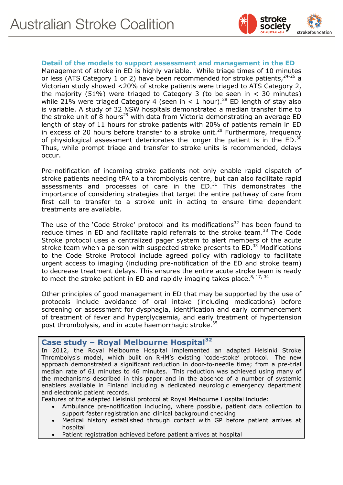

#### **Detail of the models to support assessment and management in the ED**

Management of stroke in ED is highly variable. While triage times of 10 minutes or less (ATS Category 1 or 2) have been recommended for stroke patients,  $24-26$  a Victorian study showed <20% of stroke patients were triaged to ATS Category 2, the majority (51%) were triaged to Category 3 (to be seen in  $<$  30 minutes) while 21% were triaged Category 4 (seen in  $< 1$  hour).<sup>28</sup> ED length of stay also is variable. A study of 32 NSW hospitals demonstrated a median transfer time to the stroke unit of 8 hours<sup>29</sup> with data from Victoria demonstrating an average ED length of stay of 11 hours for stroke patients with 20% of patients remain in ED in excess of 20 hours before transfer to a stroke unit.<sup>28</sup> Furthermore, frequency of physiological assessment deteriorates the longer the patient is in the ED. $^{30}$ Thus, while prompt triage and transfer to stroke units is recommended, delays occur.

Pre-notification of incoming stroke patients not only enable rapid dispatch of stroke patients needing tPA to a thrombolysis centre, but can also facilitate rapid assessments and processes of care in the  $ED.^{31}$  This demonstrates the importance of considering strategies that target the entire pathway of care from first call to transfer to a stroke unit in acting to ensure time dependent treatments are available.

The use of the 'Code Stroke' protocol and its modifications<sup>32</sup> has been found to reduce times in ED and facilitate rapid referrals to the stroke team.<sup>33</sup> The Code Stroke protocol uses a centralized pager system to alert members of the acute stroke team when a person with suspected stroke presents to  $ED.^{33}$  Modifications to the Code Stroke Protocol include agreed policy with radiology to facilitate urgent access to imaging (including pre-notification of the ED and stroke team) to decrease treatment delays. This ensures the entire acute stroke team is ready to meet the stroke patient in ED and rapidly imaging takes place.<sup>8, 17, 34</sup>

Other principles of good management in ED that may be supported by the use of protocols include avoidance of oral intake (including medications) before screening or assessment for dysphagia, identification and early commencement of treatment of fever and hyperglycaemia, and early treatment of hypertension post thrombolysis, and in acute haemorrhagic stroke.<sup>35</sup>

### **Case study – Royal Melbourne Hospital<sup>32</sup>**

In 2012, the Royal Melbourne Hospital implemented an adapted Helsinki Stroke Thrombolysis model, which built on RHM's existing 'code-stoke' protocol. The new approach demonstrated a significant reduction in door-to-needle time; from a pre-trial median rate of 61 minutes to 46 minutes. This reduction was achieved using many of the mechanisms described in this paper and in the absence of a number of systemic enablers available in Finland including a dedicated neurologic emergency department and electronic patient records.

Features of the adapted Helsinki protocol at Royal Melbourne Hospital include:

- Ambulance pre-notification including, where possible, patient data collection to support faster registration and clinical background checking
- Medical history established through contact with GP before patient arrives at hospital
- Patient registration achieved before patient arrives at hospital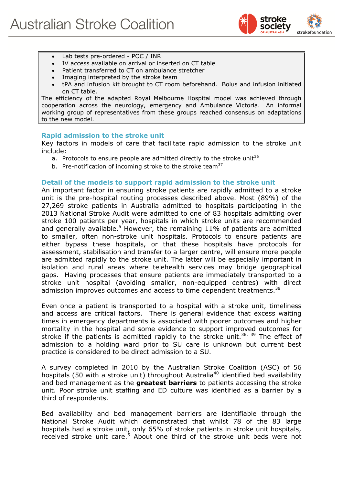

- Lab tests pre-ordered POC / INR
- IV access available on arrival or inserted on CT table
- Patient transferred to CT on ambulance stretcher
- Imaging interpreted by the stroke team
- tPA and infusion kit brought to CT room beforehand. Bolus and infusion initiated on CT table.

The efficiency of the adapted Royal Melbourne Hospital model was achieved through cooperation across the neurology, emergency and Ambulance Victoria. An informal working group of representatives from these groups reached consensus on adaptations to the new model.

#### **Rapid admission to the stroke unit**

Key factors in models of care that facilitate rapid admission to the stroke unit include:

- a. Protocols to ensure people are admitted directly to the stroke unit<sup>36</sup>
- b. Pre-notification of incoming stroke to the stroke team<sup>37</sup>

#### **Detail of the models to support rapid admission to the stroke unit**

An important factor in ensuring stroke patients are rapidly admitted to a stroke unit is the pre-hospital routing processes described above. Most (89%) of the 27,269 stroke patients in Australia admitted to hospitals participating in the 2013 National Stroke Audit were admitted to one of 83 hospitals admitting over stroke 100 patients per year, hospitals in which stroke units are recommended and generally available.<sup>5</sup> However, the remaining  $11\%$  of patients are admitted to smaller, often non-stroke unit hospitals. Protocols to ensure patients are either bypass these hospitals, or that these hospitals have protocols for assessment, stabilisation and transfer to a larger centre, will ensure more people are admitted rapidly to the stroke unit. The latter will be especially important in isolation and rural areas where telehealth services may bridge geographical gaps. Having processes that ensure patients are immediately transported to a stroke unit hospital (avoiding smaller, non-equipped centres) with direct admission improves outcomes and access to time dependent treatments.<sup>38</sup>

Even once a patient is transported to a hospital with a stroke unit, timeliness and access are critical factors. There is general evidence that excess waiting times in emergency departments is associated with poorer outcomes and higher mortality in the hospital and some evidence to support improved outcomes for stroke if the patients is admitted rapidly to the stroke unit.<sup>36, 39</sup> The effect of admission to a holding ward prior to SU care is unknown but current best practice is considered to be direct admission to a SU.

A survey completed in 2010 by the Australian Stroke Coalition (ASC) of 56 hospitals (50 with a stroke unit) throughout Australia<sup>40</sup> identified bed availability and bed management as the **greatest barriers** to patients accessing the stroke unit. Poor stroke unit staffing and ED culture was identified as a barrier by a third of respondents.

Bed availability and bed management barriers are identifiable through the National Stroke Audit which demonstrated that whilst 78 of the 83 large hospitals had a stroke unit, only 65% of stroke patients in stroke unit hospitals, received stroke unit care.<sup>5</sup> About one third of the stroke unit beds were not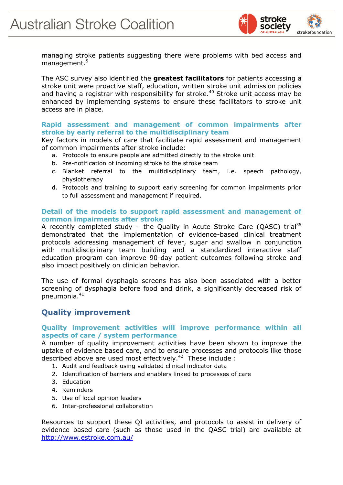

managing stroke patients suggesting there were problems with bed access and management.<sup>5</sup>

The ASC survey also identified the **greatest facilitators** for patients accessing a stroke unit were proactive staff, education, written stroke unit admission policies and having a registrar with responsibility for stroke.<sup>40</sup> Stroke unit access may be enhanced by implementing systems to ensure these facilitators to stroke unit access are in place.

#### **Rapid assessment and management of common impairments after stroke by early referral to the multidisciplinary team**

Key factors in models of care that facilitate rapid assessment and management of common impairments after stroke include:

- a. Protocols to ensure people are admitted directly to the stroke unit
- b. Pre-notification of incoming stroke to the stroke team
- c. Blanket referral to the multidisciplinary team, i.e. speech pathology, physiotherapy
- d. Protocols and training to support early screening for common impairments prior to full assessment and management if required.

#### **Detail of the models to support rapid assessment and management of common impairments after stroke**

A recently completed study – the Quality in Acute Stroke Care (QASC) trial<sup>35</sup> demonstrated that the implementation of evidence-based clinical treatment protocols addressing management of fever, sugar and swallow in conjunction with multidisciplinary team building and a standardized interactive staff education program can improve 90-day patient outcomes following stroke and also impact positively on clinician behavior.

The use of formal dysphagia screens has also been associated with a better screening of dysphagia before food and drink, a significantly decreased risk of pneumonia. 41

## **Quality improvement**

#### **Quality improvement activities will improve performance within all aspects of care / system performance**

A number of quality improvement activities have been shown to improve the uptake of evidence based care, and to ensure processes and protocols like those described above are used most effectively.<sup>42</sup> These include :

- 1. Audit and feedback using validated clinical indicator data
- 2. Identification of barriers and enablers linked to processes of care
- 3. Education
- 4. Reminders
- 5. Use of local opinion leaders
- 6. Inter-professional collaboration

Resources to support these QI activities, and protocols to assist in delivery of evidence based care (such as those used in the QASC trial) are available at <http://www.estroke.com.au/>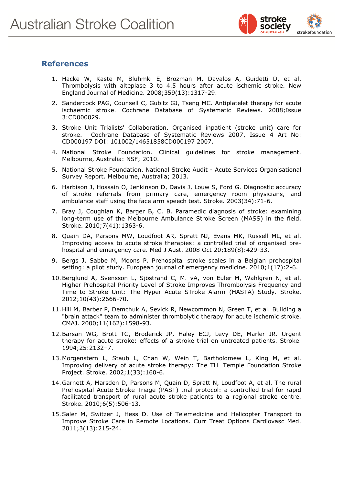

### **References**

- 1. Hacke W, Kaste M, Bluhmki E, Brozman M, Davalos A, Guidetti D, et al. Thrombolysis with alteplase 3 to 4.5 hours after acute ischemic stroke. New England Journal of Medicine. 2008;359(13):1317-29.
- 2. Sandercock PAG, Counsell C, Gubitz GJ, Tseng MC. Antiplatelet therapy for acute ischaemic stroke. Cochrane Database of Systematic Reviews. 2008;Issue 3:CD000029.
- 3. Stroke Unit Trialists' Collaboration. Organised inpatient (stroke unit) care for stroke. Cochrane Database of Systematic Reviews 2007, Issue 4 Art No: CD000197 DOI: 101002/14651858CD000197 2007.
- 4. National Stroke Foundation. Clinical guidelines for stroke management. Melbourne, Australia: NSF; 2010.
- 5. National Stroke Foundation. National Stroke Audit Acute Services Organisational Survey Report. Melbourne, Australia; 2013.
- 6. Harbison J, Hossain O, Jenkinson D, Davis J, Louw S, Ford G. Diagnostic accuracy of stroke referrals from primary care, emergency room physicians, and ambulance staff using the face arm speech test. Stroke. 2003(34):71-6.
- 7. Bray J, Coughlan K, Barger B, C. B. Paramedic diagnosis of stroke: examining long-term use of the Melbourne Ambulance Stroke Screen (MASS) in the field. Stroke. 2010;7(41):1363-6.
- 8. Quain DA, Parsons MW, Loudfoot AR, Spratt NJ, Evans MK, Russell ML, et al. Improving access to acute stroke therapies: a controlled trial of organised prehospital and emergency care. Med J Aust. 2008 Oct 20;189(8):429-33.
- 9. Bergs J, Sabbe M, Moons P. Prehospital stroke scales in a Belgian prehospital setting: a pilot study. European journal of emergency medicine. 2010;1(17):2-6.
- 10.Berglund A, Svensson L, Sjöstrand C, M. vA, von Euler M, Wahlgren N, et al. Higher Prehospital Priority Level of Stroke Improves Thrombolysis Frequency and Time to Stroke Unit: The Hyper Acute STroke Alarm (HASTA) Study. Stroke. 2012;10(43):2666-70.
- 11.Hill M, Barber P, Demchuk A, Sevick R, Newcommon N, Green T, et al. Building a "brain attack" team to administer thrombolytic therapy for acute ischemic stroke. CMAJ. 2000;11(162):1598-93.
- 12.Barsan WG, Brott TG, Broderick JP, Haley ECJ, Levy DE, Marler JR. Urgent therapy for acute stroke: effects of a stroke trial on untreated patients. Stroke. 1994;25:2132–7.
- 13. Morgenstern L, Staub L, Chan W, Wein T, Bartholomew L, King M, et al. Improving delivery of acute stroke therapy: The TLL Temple Foundation Stroke Project. Stroke. 2002;1(33):160-6.
- 14.Garnett A, Marsden D, Parsons M, Quain D, Spratt N, Loudfoot A, et al. The rural Prehospital Acute Stroke Triage (PAST) trial protocol: a controlled trial for rapid facilitated transport of rural acute stroke patients to a regional stroke centre. Stroke. 2010;6(5):506-13.
- 15.Saler M, Switzer J, Hess D. Use of Telemedicine and Helicopter Transport to Improve Stroke Care in Remote Locations. Curr Treat Options Cardiovasc Med. 2011;3(13):215-24.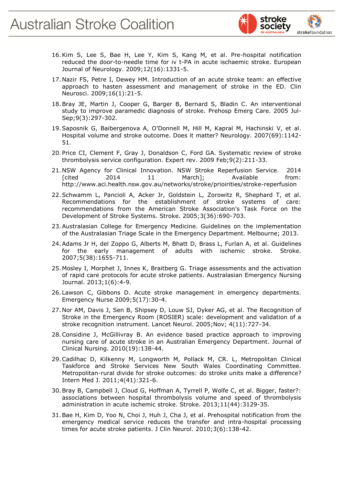

- 16.Kim S, Lee S, Bae H, Lee Y, Kim S, Kang M, et al. Pre-hospital notification reduced the door-to-needle time for iv t-PA in acute ischaemic stroke. European Journal of Neurology. 2009;12(16):1331-5.
- 17.Nazir FS, Petre I, Dewey HM. Introduction of an acute stroke team: an effective approach to hasten assessment and management of stroke in the ED. Clin Neurosci. 2009;16(1):21-5.
- 18.Bray JE, Martin J, Cooper G, Barger B, Bernard S, Bladin C. An interventional study to improve paramedic diagnosis of stroke. Prehosp Emerg Care. 2005 Jul-Sep;9(3):297-302.
- 19.Saposnik G, Baibergenova A, O'Donnell M, Hill M, Kapral M, Hachinski V, et al. Hospital volume and stroke outcome. Does it matter? Neurology. 2007(69):1142- 51.
- 20.Price CI, Clement F, Gray J, Donaldson C, Ford GA. Systematic review of stroke thrombolysis service configuration. Expert rev. 2009 Feb;9(2):211-33.
- 21.NSW Agency for Clinical Innovation. NSW Stroke Reperfusion Service. 2014 [cited 2014 11 March]; Available from: http://www.aci.health.nsw.gov.au/networks/stroke/prioirities/stroke-reperfusion
- 22.Schwamm L, Pancioli A, Acker Jr, Goldstein L, Zorowitz R, Shephard T, et al. Recommendations for the establishment of stroke systems of care: recommendations from the American Stroke Association's Task Force on the Development of Stroke Systems. Stroke. 2005;3(36):690-703.
- 23.Australasian College for Emergency Medicine. Guidelines on the implementation of the Australasian Triage Scale in the Emergency Department. Melbourne; 2013.
- 24.Adams Jr H, del Zoppo G, Alberts M, Bhatt D, Brass L, Furlan A, et al. Guidelines for the early management of adults with ischemic stroke. Stroke. 2007;5(38):1655-711.
- 25. Mosley I, Morphet J, Innes K, Braitberg G. Triage assessments and the activation of rapid care protocols for acute stroke patients. Australasian Emergency Nursing Journal. 2013;1(6):4-9.
- 26. Lawson C, Gibbons D. Acute stroke management in emergency departments. Emergency Nurse 2009;5(17):30-4.
- 27.Nor AM, Davis J, Sen B, Shipsey D, Louw SJ, Dyker AG, et al. The Recognition of Stroke in the Emergency Room (ROSIER) scale: development and validation of a stroke recognition instrument. Lancet Neurol. 2005;Nov; 4(11):727-34.
- 28.Considine J, McGillivray B. An evidence based practice approach to improving nursing care of acute stroke in an Australian Emergency Department. Journal of Clinical Nursing. 2010(19):138-44.
- 29.Cadilhac D, Kilkenny M, Longworth M, Pollack M, CR. L, Metropolitan Clinical Taskforce and Stroke Services New South Wales Coordinating Committee. Metropolitan-rural divide for stroke outcomes: do stroke units make a difference? Intern Med J. 2011;4(41):321-6.
- 30.Bray B, Campbell J, Cloud G, Hoffman A, Tyrrell P, Wolfe C, et al. Bigger, faster?: associations between hospital thrombolysis volume and speed of thrombolysis administration in acute ischemic stroke. Stroke. 2013;11(44):3129-35.
- 31.Bae H, Kim D, Yoo N, Choi J, Huh J, Cha J, et al. Prehospital notification from the emergency medical service reduces the transfer and intra-hospital processing times for acute stroke patients. J Clin Neurol. 2010;3(6):138-42.